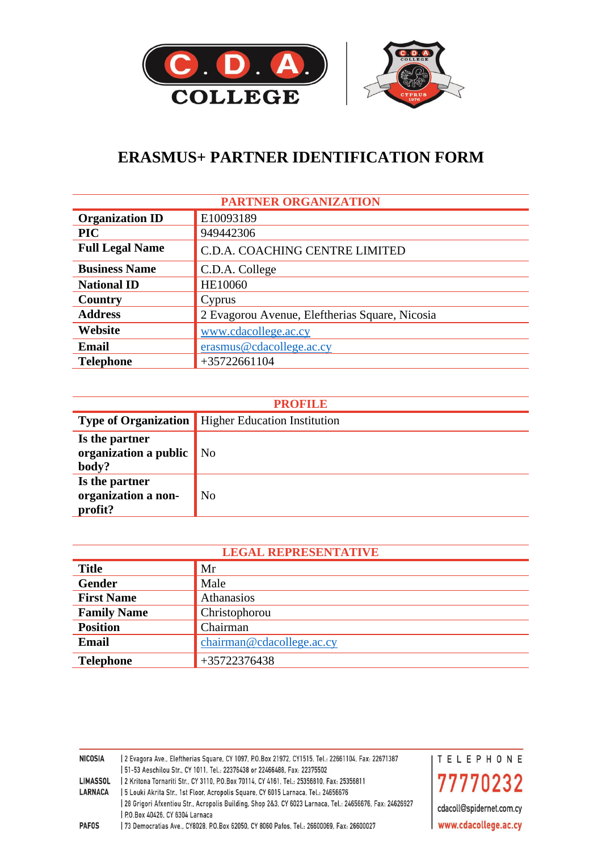

# **ERASMUS+ PARTNER IDENTIFICATION FORM**

| <b>PARTNER ORGANIZATION</b> |                                                |  |
|-----------------------------|------------------------------------------------|--|
| <b>Organization ID</b>      | E10093189                                      |  |
| <b>PIC</b>                  | 949442306                                      |  |
| <b>Full Legal Name</b>      | C.D.A. COACHING CENTRE LIMITED                 |  |
| <b>Business Name</b>        | C.D.A. College                                 |  |
| <b>National ID</b>          | HE10060                                        |  |
| Country                     | Cyprus                                         |  |
| <b>Address</b>              | 2 Evagorou Avenue, Eleftherias Square, Nicosia |  |
| Website                     | www.cdacollege.ac.cy                           |  |
| <b>Email</b>                | erasmus@cdacollege.ac.cy                       |  |
| <b>Telephone</b>            | $+35722661104$                                 |  |

| <b>PROFILE</b>                                   |                                                          |  |
|--------------------------------------------------|----------------------------------------------------------|--|
|                                                  | <b>Type of Organization</b> Higher Education Institution |  |
| Is the partner<br>organization a public<br>body? | $\overline{\phantom{a}}$ No                              |  |
| Is the partner<br>organization a non-<br>profit? | No                                                       |  |

| <b>LEGAL REPRESENTATIVE</b> |                           |  |  |
|-----------------------------|---------------------------|--|--|
| <b>Title</b>                | Mr                        |  |  |
| Gender                      | Male                      |  |  |
| <b>First Name</b>           | Athanasios                |  |  |
| <b>Family Name</b>          | Christophorou             |  |  |
| <b>Position</b>             | Chairman                  |  |  |
| <b>Email</b>                | chairman@cdacollege.ac.cy |  |  |
| <b>Telephone</b>            | +35722376438              |  |  |

| <b>NICOSIA</b>  | 2661104, Fax: 22671387 [28] 22671387 [28] 22671388 [28] 25 [28] 25 [28] 26. [28] 26. [28] 26. [28] 2      | <b>ITELEPHONE</b>        |
|-----------------|-----------------------------------------------------------------------------------------------------------|--------------------------|
|                 | 51-53 Aeschilou Str., CY 1011, Tel.: 22376438 or 22466488, Fax: 22375502                                  |                          |
| <b>LIMASSOL</b> | 2 Kritona Tornariti Str., CY 3110, P.O.Box 70114, CY 4161, Tel.: 25356810, Fax: 25356811                  | 77770232                 |
| <b>LARNACA</b>  | 5 Louki Akrita Str., 1st Floor, Acropolis Square, CY 6015 Larnaca, Tel.: 24656676                         |                          |
|                 | 28 Grigori Afxentiou Str., Acropolis Building, Shop 2&3, CY 6023 Larnaca, Tel.: 24656676, Fax: 24626927 [ | cdacoll@spidernet.com.cy |
|                 | P.O.Box 40426, CY 6304 Larnaca                                                                            |                          |
| <b>PAFOS</b>    | 73 Democratias Ave., CY8028, P.O.Box 62050, CY 8060 Pafos, Tel.: 26600069, Fax: 26600027                  | www.cdacollege.ac.cy     |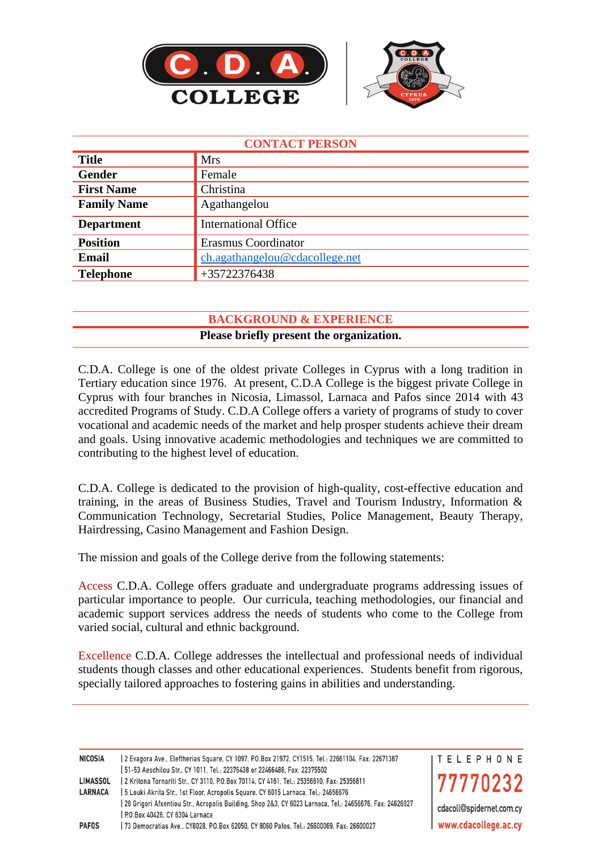



| <b>CONTACT PERSON</b> |                                |  |
|-----------------------|--------------------------------|--|
| <b>Title</b>          | <b>Mrs</b>                     |  |
| <b>Gender</b>         | Female                         |  |
| <b>First Name</b>     | Christina                      |  |
| <b>Family Name</b>    | Agathangelou                   |  |
| <b>Department</b>     | <b>International Office</b>    |  |
| <b>Position</b>       | Erasmus Coordinator            |  |
| <b>Email</b>          | ch.agathangelou@cdacollege.net |  |
| <b>Telephone</b>      | +35722376438                   |  |

#### **BACKGROUND & EXPERIENCE**

#### **Please briefly present the organization.**

C.D.A. College is one of the oldest private Colleges in Cyprus with a long tradition in Tertiary education since 1976. At present, C.D.A College is the biggest private College in Cyprus with four branches in Nicosia, Limassol, Larnaca and Pafos since 2014 with 43 accredited Programs of Study. C.D.A College offers a variety of programs of study to cover vocational and academic needs of the market and help prosper students achieve their dream and goals. Using innovative academic methodologies and techniques we are committed to contributing to the highest level of education.

C.D.A. College is dedicated to the provision of high-quality, cost-effective education and training, in the areas of Business Studies, Travel and Tourism Industry, Information & Communication Technology, Secretarial Studies, Police Management, Beauty Therapy, Hairdressing, Casino Management and Fashion Design.

The mission and goals of the College derive from the following statements:

Access C.D.A. College offers graduate and undergraduate programs addressing issues of particular importance to people. Our curricula, teaching methodologies, our financial and academic support services address the needs of students who come to the College from varied social, cultural and ethnic background.

Excellence C.D.A. College addresses the intellectual and professional needs of individual students though classes and other educational experiences. Students benefit from rigorous, specially tailored approaches to fostering gains in abilities and understanding.

| NICOSIA         | 2661104, Fax: 22671387 [28] 2267104. [28] 2267104 [28] 24710 [28] 24710. [28] 2571087 [28] 2571087 [    | I T E L E P H O N E      |
|-----------------|---------------------------------------------------------------------------------------------------------|--------------------------|
|                 | 51-53 Aeschilou Str., CY 1011, Tel.: 22376438 or 22466488, Fax: 22375502                                |                          |
| <b>LIMASSOL</b> | 2 Kritona Tornariti Str., CY 3110, P.O.Box 70114, CY 4161, Tel.: 25356810, Fax: 25356811                | 77770232                 |
| <b>LARNACA</b>  | 5 Louki Akrita Str., 1st Floor, Acropolis Square, CY 6015 Larnaca, Tel.: 24656676                       |                          |
|                 | 28 Grigori Afxentiou Str., Acropolis Building, Shop 2&3, CY 6023 Larnaca, Tel.: 24656676, Fax: 24626927 | cdacoll@spidernet.com.cy |
|                 | P.O.Box 40426, CY 6304 Larnaca                                                                          |                          |
| <b>PAFOS</b>    | 73 Democratias Ave., CY8028, P.O.Box 62050, CY 8060 Pafos, Tel.: 26600069, Fax: 26600027                | www.cdacollege.ac.cy     |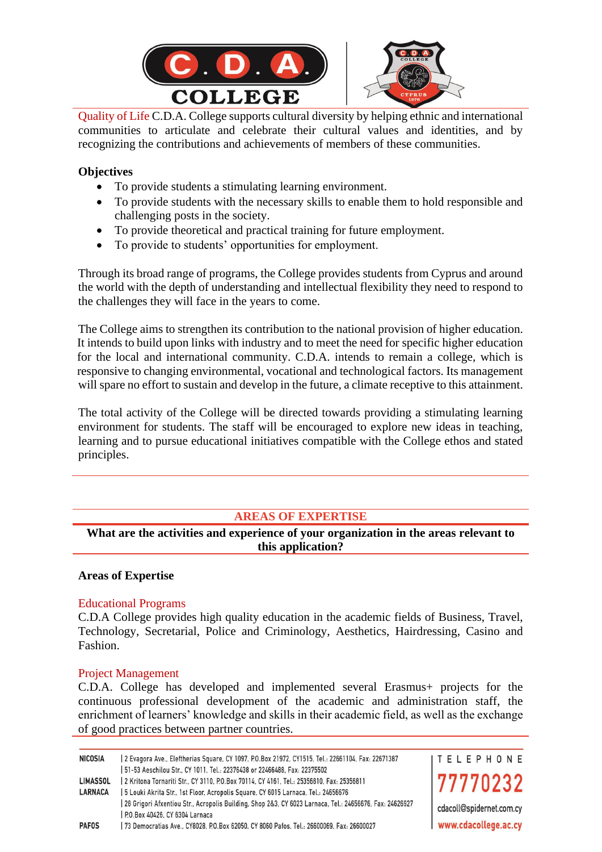

Quality of Life C.D.A. College supports cultural diversity by helping ethnic and international communities to articulate and celebrate their cultural values and identities, and by recognizing the contributions and achievements of members of these communities.

#### **Objectives**

- To provide students a stimulating learning environment.
- To provide students with the necessary skills to enable them to hold responsible and challenging posts in the society.
- To provide theoretical and practical training for future employment.
- To provide to students' opportunities for employment.

Through its broad range of programs, the College provides students from Cyprus and around the world with the depth of understanding and intellectual flexibility they need to respond to the challenges they will face in the years to come.

The College aims to strengthen its contribution to the national provision of higher education. It intends to build upon links with industry and to meet the need for specific higher education for the local and international community. C.D.A. intends to remain a college, which is responsive to changing environmental, vocational and technological factors. Its management will spare no effort to sustain and develop in the future, a climate receptive to this attainment.

The total activity of the College will be directed towards providing a stimulating learning environment for students. The staff will be encouraged to explore new ideas in teaching, learning and to pursue educational initiatives compatible with the College ethos and stated principles.

### **AREAS OF EXPERTISE**

**What are the activities and experience of your organization in the areas relevant to this application?**

#### **Areas of Expertise**

#### Educational Programs

C.D.A College provides high quality education in the academic fields of Business, Travel, Technology, Secretarial, Police and Criminology, Aesthetics, Hairdressing, Casino and Fashion.

#### Project Management

C.D.A. College has developed and implemented several Erasmus+ projects for the continuous professional development of the academic and administration staff, the enrichment of learners' knowledge and skills in their academic field, as well as the exchange of good practices between partner countries.

| <b>NICOSIA</b>  | 2661104, Fax: 22671387 [28] 22671387 [28] 22671388 [28] 25 [28] 25 [28] 26. [28] 26. [28] 26. [28] 2                                      | <b>ITELEPHONE</b>        |
|-----------------|-------------------------------------------------------------------------------------------------------------------------------------------|--------------------------|
|                 | 51-53 Aeschilou Str., CY 1011, Tel.: 22376438 or 22466488, Fax: 22375502                                                                  |                          |
| <b>LIMASSOL</b> | 2 Kritona Tornariti Str., CY 3110, P.O.Box 70114, CY 4161, Tel.: 25356810, Fax: 25356811                                                  | 77770232                 |
| <b>LARNACA</b>  | 5 Louki Akrita Str., 1st Floor, Acropolis Square, CY 6015 Larnaca, Tel.: 24656676                                                         |                          |
|                 | 28 Grigori Afxentiou Str., Acropolis Building, Shop 2&3, CY 6023 Larnaca, Tel.: 24656676, Fax: 24626927<br>P.O.Box 40426, CY 6304 Larnaca | cdacoll@spidernet.com.cy |
| <b>PAFOS</b>    | 73 Democratias Ave., CY8028, P.O.Box 62050, CY 8060 Pafos, Tel.: 26600069, Fax: 26600027                                                  | www.cdacollege.ac.cy     |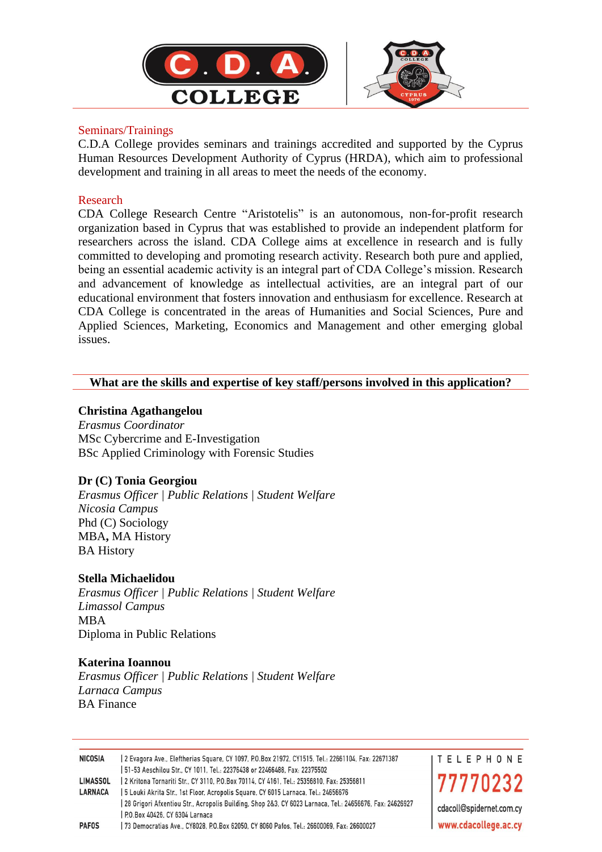

#### Seminars/Trainings

C.D.A College provides seminars and trainings accredited and supported by the Cyprus Human Resources Development Authority of Cyprus (HRDA), which aim to professional development and training in all areas to meet the needs of the economy.

#### Research

CDA College Research Centre "Aristotelis" is an autonomous, non-for-profit research organization based in Cyprus that was established to provide an independent platform for researchers across the island. CDA College aims at excellence in research and is fully committed to developing and promoting research activity. Research both pure and applied, being an essential academic activity is an integral part of CDA College's mission. Research and advancement of knowledge as intellectual activities, are an integral part of our educational environment that fosters innovation and enthusiasm for excellence. Research at CDA College is concentrated in the areas of Humanities and Social Sciences, Pure and Applied Sciences, Marketing, Economics and Management and other emerging global issues.

#### **What are the skills and expertise of key staff/persons involved in this application?**

#### **Christina Agathangelou**

*Erasmus Coordinator* MSc Cybercrime and E-Investigation BSc Applied Criminology with Forensic Studies

#### **Dr (C) Tonia Georgiou**

*Erasmus Officer | Public Relations | Student Welfare Nicosia Campus* Phd (C) Sociology MBA**,** MA History BA History

#### **Stella Michaelidou**

*Erasmus Officer | Public Relations | Student Welfare Limassol Campus* MBA Diploma in Public Relations

#### **Katerina Ioannou**

*Erasmus Officer | Public Relations | Student Welfare Larnaca Campus* BA Finance

| <b>NICOSIA</b>  | 2661104, 22671387 [2] 22671387 [2] E Evagora Ave., Evagora Ave., CY1515, 2016 2016, 22671387 [2] 2]     | I T E L E P H O N E      |
|-----------------|---------------------------------------------------------------------------------------------------------|--------------------------|
|                 | 51-53 Aeschilou Str., CY 1011, Tel.: 22376438 or 22466488, Fax: 22375502                                |                          |
| <b>LIMASSOL</b> | 2 Kritona Tornariti Str., CY 3110, P.O.Box 70114, CY 4161, Tel.: 25356810, Fax: 25356811                | 77770232                 |
| <b>LARNACA</b>  | 5 Louki Akrita Str., 1st Floor, Acropolis Square, CY 6015 Larnaca, Tel.: 24656676                       |                          |
|                 | 28 Grigori Afxentiou Str., Acropolis Building, Shop 2&3, CY 6023 Larnaca, Tel.: 24656676, Fax: 24626927 | cdacoll@spidernet.com.cy |
|                 | P.O.Box 40426, CY 6304 Larnaca                                                                          |                          |
| <b>PAFOS</b>    | 73 Democratias Ave., CY8028, P.O.Box 62050, CY 8060 Pafos, Tel.: 26600069, Fax: 26600027                | www.cdacollege.ac.cy     |